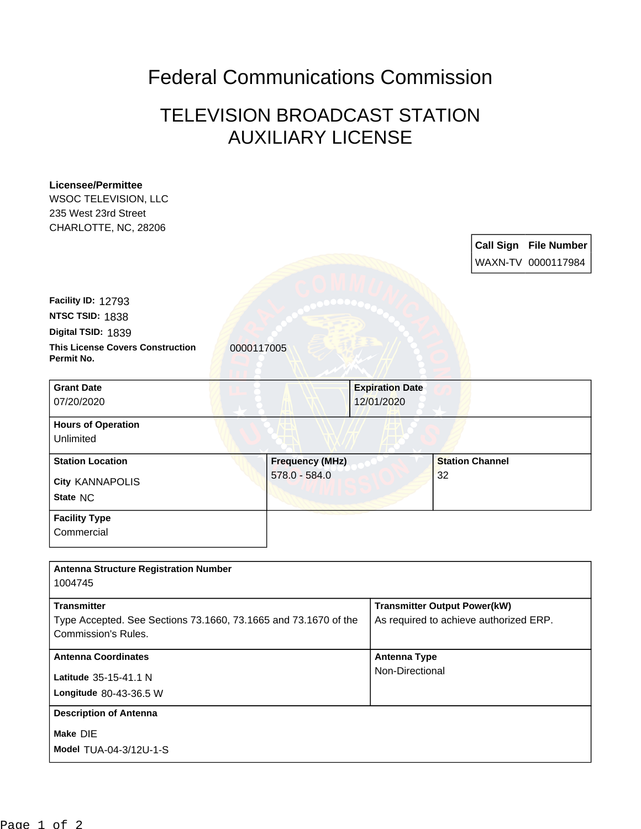## Federal Communications Commission

## TELEVISION BROADCAST STATION AUXILIARY LICENSE

| WSOC TELEVISION, LLC                                                                          |                        |                        |                                        |
|-----------------------------------------------------------------------------------------------|------------------------|------------------------|----------------------------------------|
| 235 West 23rd Street                                                                          |                        |                        |                                        |
| CHARLOTTE, NC, 28206                                                                          |                        |                        |                                        |
|                                                                                               |                        |                        | <b>Call Sign File Number</b>           |
|                                                                                               |                        |                        | WAXN-TV 0000117984                     |
|                                                                                               |                        |                        |                                        |
|                                                                                               |                        |                        |                                        |
| Facility ID: 12793                                                                            |                        |                        |                                        |
| NTSC TSID: 1838                                                                               |                        |                        |                                        |
| Digital TSID: 1839                                                                            |                        |                        |                                        |
| <b>This License Covers Construction</b><br>Permit No.                                         | 0000117005             |                        |                                        |
| <b>Grant Date</b>                                                                             |                        | <b>Expiration Date</b> |                                        |
| 07/20/2020                                                                                    |                        | 12/01/2020             |                                        |
|                                                                                               |                        |                        |                                        |
| <b>Hours of Operation</b>                                                                     |                        |                        |                                        |
| Unlimited                                                                                     |                        |                        |                                        |
| <b>Station Location</b>                                                                       | <b>Frequency (MHz)</b> |                        | <b>Station Channel</b>                 |
| <b>City KANNAPOLIS</b>                                                                        | 578.0 - 584.0          |                        | 32                                     |
| State NC                                                                                      |                        |                        |                                        |
|                                                                                               |                        |                        |                                        |
| <b>Facility Type</b>                                                                          |                        |                        |                                        |
| Commercial                                                                                    |                        |                        |                                        |
|                                                                                               |                        |                        |                                        |
|                                                                                               |                        |                        |                                        |
| <b>Antenna Structure Registration Number</b>                                                  |                        |                        |                                        |
| 1004745                                                                                       |                        |                        |                                        |
| <b>Transmitter</b>                                                                            |                        |                        |                                        |
|                                                                                               |                        |                        | <b>Transmitter Output Power(kW)</b>    |
| Type Accepted. See Sections 73.1660, 73.1665 and 73.1670 of the<br><b>Commission's Rules.</b> |                        |                        | As required to achieve authorized ERP. |
|                                                                                               |                        |                        |                                        |
| <b>Antenna Coordinates</b>                                                                    |                        | <b>Antenna Type</b>    |                                        |
| Latitude 35-15-41.1 N                                                                         |                        | Non-Directional        |                                        |
| Longitude 80-43-36.5 W                                                                        |                        |                        |                                        |
| <b>Description of Antenna</b>                                                                 |                        |                        |                                        |
|                                                                                               |                        |                        |                                        |
| Make DIE<br>Model TUA-04-3/12U-1-S                                                            |                        |                        |                                        |